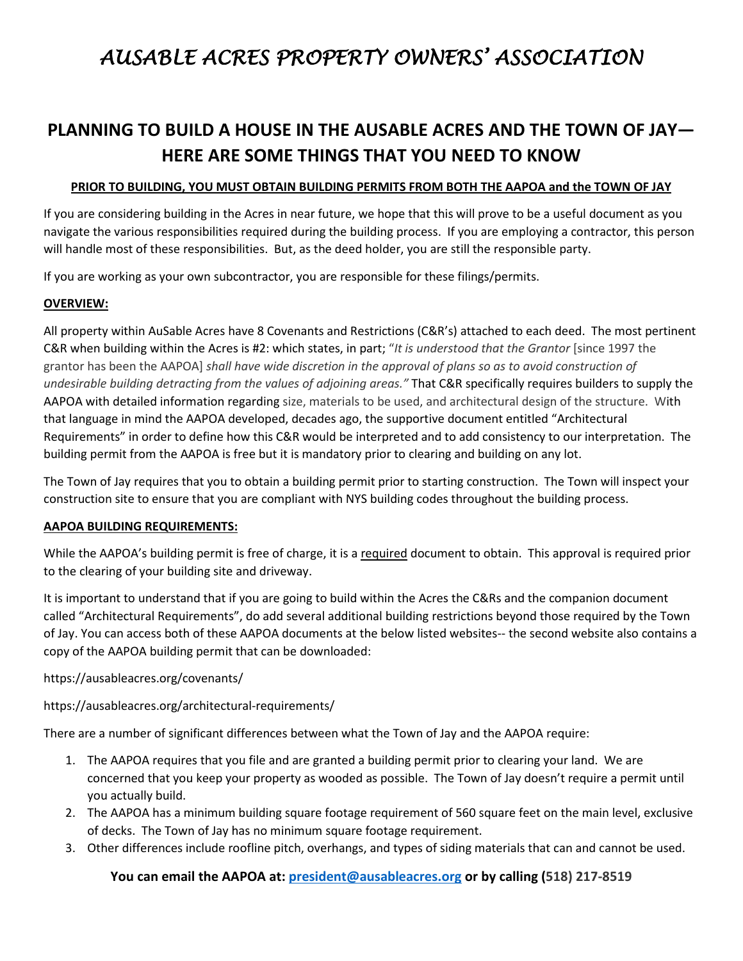# *AUSABLE ACRES PROPERTY OWNERS' ASSOCIATION*

# **PLANNING TO BUILD A HOUSE IN THE AUSABLE ACRES AND THE TOWN OF JAY— HERE ARE SOME THINGS THAT YOU NEED TO KNOW**

#### **PRIOR TO BUILDING, YOU MUST OBTAIN BUILDING PERMITS FROM BOTH THE AAPOA and the TOWN OF JAY**

If you are considering building in the Acres in near future, we hope that this will prove to be a useful document as you navigate the various responsibilities required during the building process. If you are employing a contractor, this person will handle most of these responsibilities. But, as the deed holder, you are still the responsible party.

If you are working as your own subcontractor, you are responsible for these filings/permits.

### **OVERVIEW:**

All property within AuSable Acres have 8 Covenants and Restrictions (C&R's) attached to each deed. The most pertinent C&R when building within the Acres is #2: which states, in part; "*It is understood that the Grantor* [since 1997 the grantor has been the AAPOA] *shall have wide discretion in the approval of plans so as to avoid construction of undesirable building detracting from the values of adjoining areas."* That C&R specifically requires builders to supply the AAPOA with detailed information regarding size, materials to be used, and architectural design of the structure. With that language in mind the AAPOA developed, decades ago, the supportive document entitled "Architectural Requirements" in order to define how this C&R would be interpreted and to add consistency to our interpretation. The building permit from the AAPOA is free but it is mandatory prior to clearing and building on any lot.

The Town of Jay requires that you to obtain a building permit prior to starting construction. The Town will inspect your construction site to ensure that you are compliant with NYS building codes throughout the building process.

## **AAPOA BUILDING REQUIREMENTS:**

While the AAPOA's building permit is free of charge, it is a required document to obtain. This approval is required prior to the clearing of your building site and driveway.

It is important to understand that if you are going to build within the Acres the C&Rs and the companion document called "Architectural Requirements", do add several additional building restrictions beyond those required by the Town of Jay. You can access both of these AAPOA documents at the below listed websites-- the second website also contains a copy of the AAPOA building permit that can be downloaded:

https://ausableacres.org/covenants/

<https://ausableacres.org/architectural-requirements/>

There are a number of significant differences between what the Town of Jay and the AAPOA require:

- 1. The AAPOA requires that you file and are granted a building permit prior to clearing your land. We are concerned that you keep your property as wooded as possible. The Town of Jay doesn't require a permit until you actually build.
- 2. The AAPOA has a minimum building square footage requirement of 560 square feet on the main level, exclusive of decks. The Town of Jay has no minimum square footage requirement.
- 3. Other differences include roofline pitch, overhangs, and types of siding materials that can and cannot be used.

**You can email the AAPOA at: [president@ausableacres.org](mailto:president@ausableacres.org) or by calling (518) 217-8519**